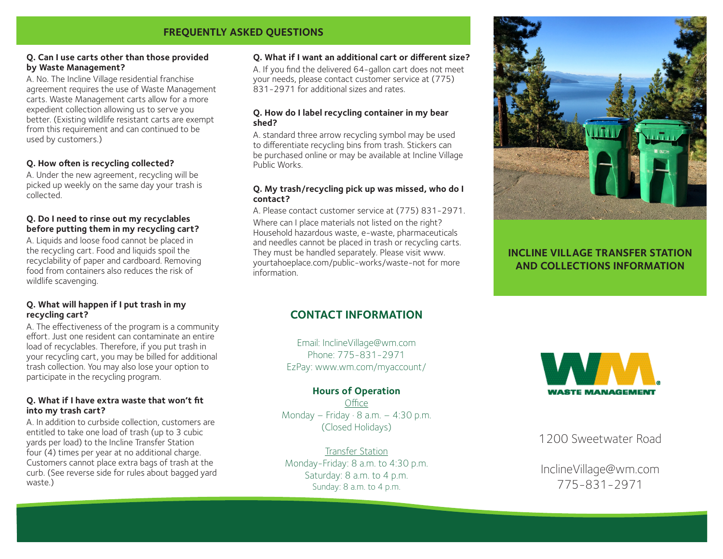## **FREQUENTLY ASKED QUESTIONS**

#### **Q. Can I use carts other than those provided by Waste Management?**

A. No. The Incline Village residential franchise agreement requires the use of Waste Management carts. Waste Management carts allow for a more expedient collection allowing us to serve you better. (Existing wildlife resistant carts are exempt from this requirement and can continued to be used by customers.)

### **Q. How often is recycling collected?**

A. Under the new agreement, recycling will be picked up weekly on the same day your trash is collected.

#### **Q. Do I need to rinse out my recyclables before putting them in my recycling cart?**

A. Liquids and loose food cannot be placed in the recycling cart. Food and liquids spoil the recyclability of paper and cardboard. Removing food from containers also reduces the risk of wildlife scavenging.

#### **Q. What will happen if I put trash in my recycling cart?**

A. The effectiveness of the program is a community effort. Just one resident can contaminate an entire load of recyclables. Therefore, if you put trash in your recycling cart, you may be billed for additional trash collection. You may also lose your option to participate in the recycling program.

#### **Q. What if I have extra waste that won't fit into my trash cart?**

A. In addition to curbside collection, customers are entitled to take one load of trash (up to 3 cubic yards per load) to the Incline Transfer Station four (4) times per year at no additional charge. Customers cannot place extra bags of trash at the curb. (See reverse side for rules about bagged yard waste.)

#### **Q. What if I want an additional cart or different size?**

A. If you find the delivered 64-gallon cart does not meet your needs, please contact customer service at (775) 831-2971 for additional sizes and rates.

#### **Q. How do I label recycling container in my bear shed?**

A. standard three arrow recycling symbol may be used to differentiate recycling bins from trash. Stickers can be purchased online or may be available at Incline Village Public Works.

#### **Q. My trash/recycling pick up was missed, who do I contact?**

A. Please contact customer service at (775) 831-2971.

Where can I place materials not listed on the right? Household hazardous waste, e-waste, pharmaceuticals and needles cannot be placed in trash or recycling carts. They must be handled separately. Please visit www. yourtahoeplace.com/public-works/waste-not for more information.



## **INCLINE VILLAGE TRANSFER STATION AND COLLECTIONS INFORMATION**

## **CONTACT INFORMATION**

Email: InclineVillage@wm.com Phone: 775-831-2971 EzPay: www.wm.com/myaccount/

### **Hours of Operation**

**Office** Monday – Friday  $\cdot$  8 a.m. – 4:30 p.m. (Closed Holidays)

Transfer Station Monday-Friday: 8 a.m. to 4:30 p.m. Saturday: 8 a.m. to 4 p.m. Sunday: 8 a.m. to 4 p.m.



1200 Sweetwater Road

InclineVillage@wm.com 775-831-2971